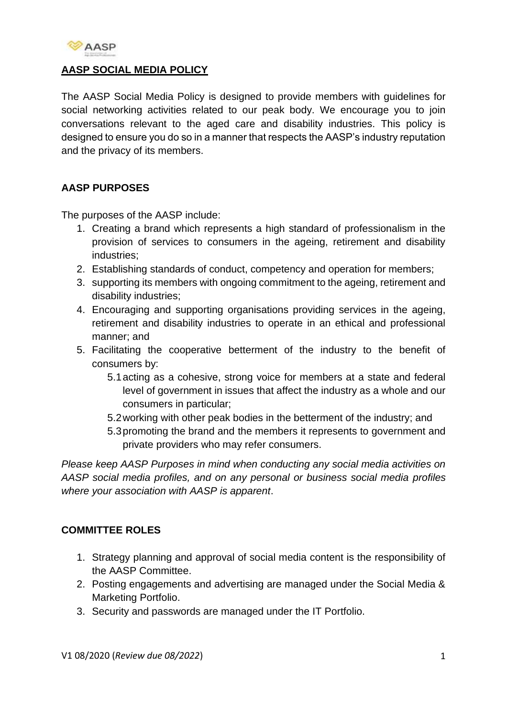

## **AASP SOCIAL MEDIA POLICY**

The AASP Social Media Policy is designed to provide members with guidelines for social networking activities related to our peak body. We encourage you to join conversations relevant to the aged care and disability industries. This policy is designed to ensure you do so in a manner that respects the AASP's industry reputation and the privacy of its members.

## **AASP PURPOSES**

The purposes of the AASP include:

- 1. Creating a brand which represents a high standard of professionalism in the provision of services to consumers in the ageing, retirement and disability industries;
- 2. Establishing standards of conduct, competency and operation for members;
- 3. supporting its members with ongoing commitment to the ageing, retirement and disability industries;
- 4. Encouraging and supporting organisations providing services in the ageing, retirement and disability industries to operate in an ethical and professional manner; and
- 5. Facilitating the cooperative betterment of the industry to the benefit of consumers by:
	- 5.1acting as a cohesive, strong voice for members at a state and federal level of government in issues that affect the industry as a whole and our consumers in particular;
	- 5.2working with other peak bodies in the betterment of the industry; and
	- 5.3promoting the brand and the members it represents to government and private providers who may refer consumers.

*Please keep AASP Purposes in mind when conducting any social media activities on AASP social media profiles, and on any personal or business social media profiles where your association with AASP is apparent*.

## **COMMITTEE ROLES**

- 1. Strategy planning and approval of social media content is the responsibility of the AASP Committee.
- 2. Posting engagements and advertising are managed under the Social Media & Marketing Portfolio.
- 3. Security and passwords are managed under the IT Portfolio.